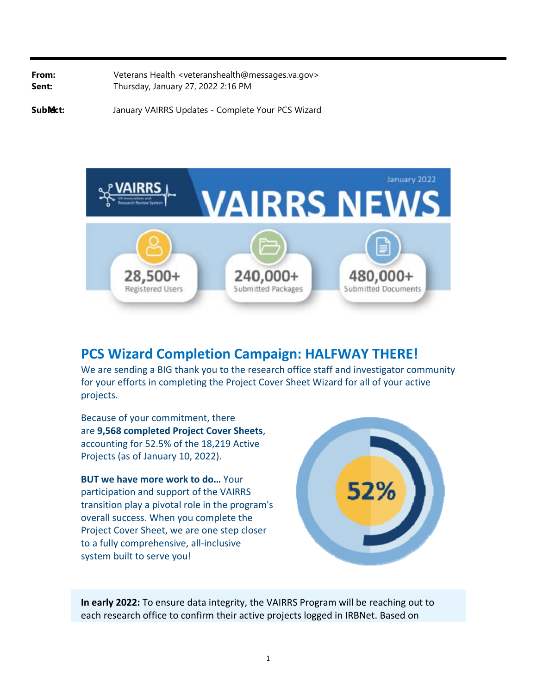**From:** Veterans Health <[veteranshealth@messages.va.gov](mailto:veteranshealth@messages.va.gov)> **Sent:** Thursday, January 27, 2022 2:16 PM

**Sub /ect:** January VAIRRS Updates - Complete Your PCS Wizard



## **PCS Wizard Completion Campaign: HALFWAY THERE!**

We are sending a BIG thank you to the research office staff and investigator community for your efforts in completing the Project Cover Sheet Wizard for all of your active projects.

Because of your commitment, there are **9,568 completed Project Cover Sheets**, accounting for 52.5% of the 18,219 Active Projects (as of January 10, 2022).

**BUT we have more work to do…** Your participation and support of the VAIRRS transition play a pivotal role in the program's overall success. When you complete the Project Cover Sheet, we are one step closer to a fully comprehensive, all‐inclusive system built to serve you!



**In early 2022:** To ensure data integrity, the VAIRRS Program will be reaching out to each research office to confirm their active projects logged in IRBNet. Based on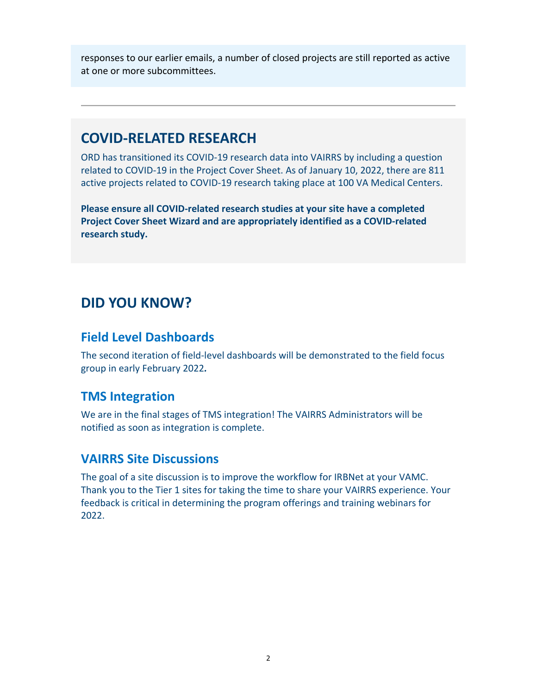responses to our earlier emails, a number of closed projects are still reported as active at one or more subcommittees.

## **COVID‐RELATED RESEARCH**

ORD has transitioned its COVID‐19 research data into VAIRRS by including a question related to COVID‐19 in the Project Cover Sheet. As of January 10, 2022, there are 811 active projects related to COVID‐19 research taking place at 100 VA Medical Centers.

**Please ensure all COVID‐related research studies at your site have a completed Project Cover Sheet Wizard and are appropriately identified as a COVID‐related research study.**

## **DID YOU KNOW?**

### **Field Level Dashboards**

The second iteration of field‐level dashboards will be demonstrated to the field focus group in early February 2022*.* 

## **TMS Integration**

We are in the final stages of TMS integration! The VAIRRS Administrators will be notified as soon as integration is complete.

### **VAIRRS Site Discussions**

The goal of a site discussion is to improve the workflow for IRBNet at your VAMC. Thank you to the Tier 1 sites for taking the time to share your VAIRRS experience. Your feedback is critical in determining the program offerings and training webinars for 2022.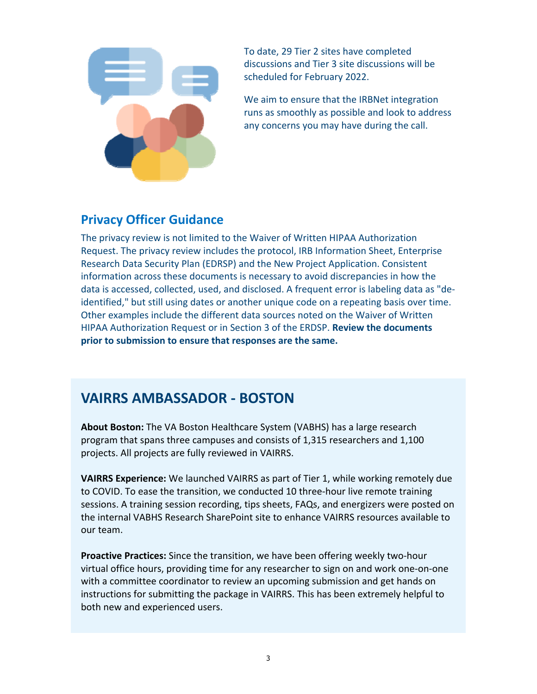

To date, 29 Tier 2 sites have completed discussions and Tier 3 site discussions will be scheduled for February 2022.

We aim to ensure that the IRBNet integration runs as smoothly as possible and look to address any concerns you may have during the call.

## **Privacy Officer Guidance**

The privacy review is not limited to the Waiver of Written HIPAA Authorization Request. The privacy review includes the protocol, IRB Information Sheet, Enterprise Research Data Security Plan (EDRSP) and the New Project Application. Consistent information across these documents is necessary to avoid discrepancies in how the data is accessed, collected, used, and disclosed. A frequent error is labeling data as "de‐ identified," but still using dates or another unique code on a repeating basis over time. Other examples include the different data sources noted on the Waiver of Written HIPAA Authorization Request or in Section 3 of the ERDSP. **Review the documents prior to submission to ensure that responses are the same.**

# **VAIRRS AMBASSADOR ‐ BOSTON**

**About Boston:** The VA Boston Healthcare System (VABHS) has a large research program that spans three campuses and consists of 1,315 researchers and 1,100 projects. All projects are fully reviewed in VAIRRS.

**VAIRRS Experience:** We launched VAIRRS as part of Tier 1, while working remotely due to COVID. To ease the transition, we conducted 10 three-hour live remote training sessions. A training session recording, tips sheets, FAQs, and energizers were posted on the internal VABHS Research SharePoint site to enhance VAIRRS resources available to our team.

**Proactive Practices:** Since the transition, we have been offering weekly two‐hour virtual office hours, providing time for any researcher to sign on and work one‐on‐one with a committee coordinator to review an upcoming submission and get hands on instructions for submitting the package in VAIRRS. This has been extremely helpful to both new and experienced users.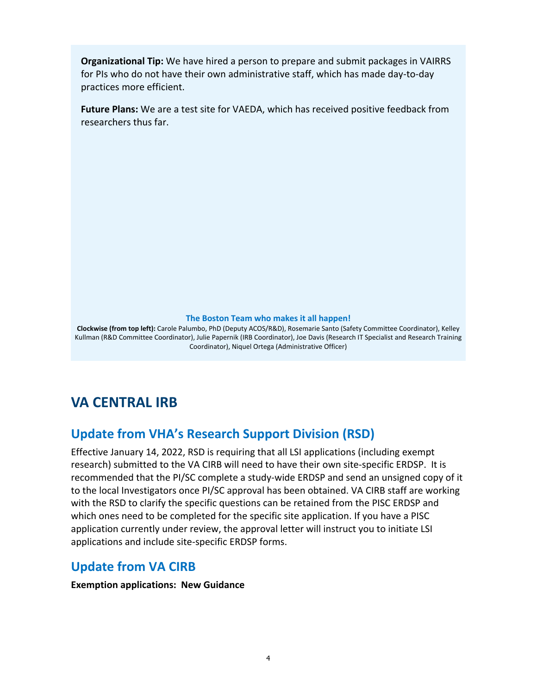**Organizational Tip:** We have hired a person to prepare and submit packages in VAIRRS for PIs who do not have their own administrative staff, which has made day‐to‐day practices more efficient.

**Future Plans:** We are a test site for VAEDA, which has received positive feedback from researchers thus far.

#### **The Boston Team who makes it all happen!**

 Coordinator), Niquel Ortega (Administrative Officer) **Clockwise (from top left):** Carole Palumbo, PhD (Deputy ACOS/R&D), Rosemarie Santo (Safety Committee Coordinator), Kelley Kullman (R&D Committee Coordinator), Julie Papernik (IRB Coordinator), Joe Davis (Research IT Specialist and Research Training

# **VA CENTRAL IRB**

## **Update from VHA's Research Support Division (RSD)**

Effective January 14, 2022, RSD is requiring that all LSI applications (including exempt research) submitted to the VA CIRB will need to have their own site-specific ERDSP. It is recommended that the PI/SC complete a study-wide ERDSP and send an unsigned copy of it to the local Investigators once PI/SC approval has been obtained. VA CIRB staff are working with the RSD to clarify the specific questions can be retained from the PISC ERDSP and which ones need to be completed for the specific site application. If you have a PISC application currently under review, the approval letter will instruct you to initiate LSI applications and include site‐specific ERDSP forms.

### **Update from VA CIRB**

**Exemption applications: New Guidance**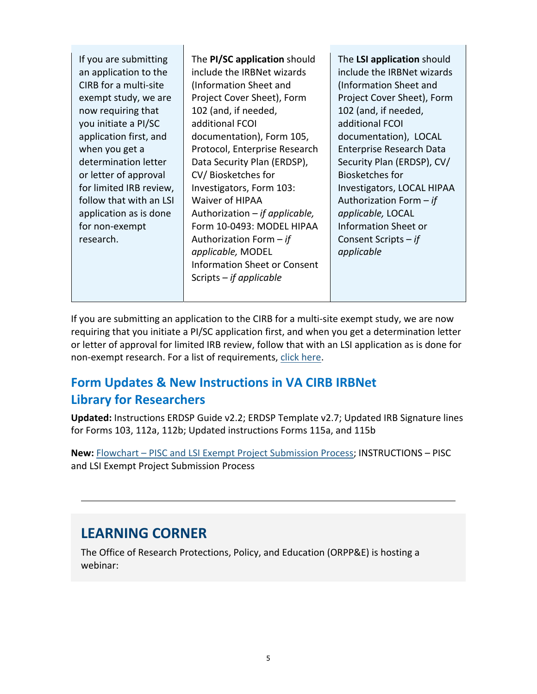| If you are submitting<br>an application to the<br>CIRB for a multi-site<br>exempt study, we are<br>now requiring that<br>you initiate a PI/SC<br>application first, and<br>when you get a<br>determination letter<br>or letter of approval<br>for limited IRB review,<br>follow that with an LSI<br>application as is done<br>for non-exempt<br>research. | The PI/SC application should<br>include the IRBNet wizards<br>(Information Sheet and<br>Project Cover Sheet), Form<br>102 (and, if needed,<br>additional FCOI<br>documentation), Form 105,<br>Protocol, Enterprise Research<br>Data Security Plan (ERDSP),<br>CV/Biosketches for<br>Investigators, Form 103:<br>Waiver of HIPAA<br>Authorization $-$ if applicable,<br>Form 10-0493: MODEL HIPAA<br>Authorization Form $-$ if<br>applicable, MODEL<br><b>Information Sheet or Consent</b><br>Scripts $-$ if applicable | The LSI application should<br>include the IRBNet wizards<br>(Information Sheet and<br>Project Cover Sheet), Form<br>102 (and, if needed,<br>additional FCOI<br>documentation), LOCAL<br>Enterprise Research Data<br>Security Plan (ERDSP), CV/<br>Biosketches for<br>Investigators, LOCAL HIPAA<br>Authorization Form $-$ if<br>applicable, LOCAL<br><b>Information Sheet or</b><br>Consent Scripts $-$ if<br>applicable |
|-----------------------------------------------------------------------------------------------------------------------------------------------------------------------------------------------------------------------------------------------------------------------------------------------------------------------------------------------------------|------------------------------------------------------------------------------------------------------------------------------------------------------------------------------------------------------------------------------------------------------------------------------------------------------------------------------------------------------------------------------------------------------------------------------------------------------------------------------------------------------------------------|--------------------------------------------------------------------------------------------------------------------------------------------------------------------------------------------------------------------------------------------------------------------------------------------------------------------------------------------------------------------------------------------------------------------------|
|                                                                                                                                                                                                                                                                                                                                                           |                                                                                                                                                                                                                                                                                                                                                                                                                                                                                                                        |                                                                                                                                                                                                                                                                                                                                                                                                                          |

If you are submitting an application to the CIRB for a multi-site exempt study, we are now requiring that you initiate a PI/SC application first, and when you get a determination letter or letter of approval for limited IRB review, follow that with an LSI application as is done for non-exempt research. For a list of requirements, click here.

## **Form Updates & New Instructions in VA CIRB IRBNet Library for Researchers**

**Updated:** Instructions ERDSP Guide v2.2; ERDSP Template v2.7; Updated IRB Signature lines for Forms 103, 112a, 112b; Updated instructions Forms 115a, and 115b

**New:** Flowchart – PISC and LSI Exempt Project Submission Process; INSTRUCTIONS – PISC and LSI Exempt Project Submission Process

# **LEARNING CORNER**

The Office of Research Protections, Policy, and Education (ORPP&E) is hosting a webinar: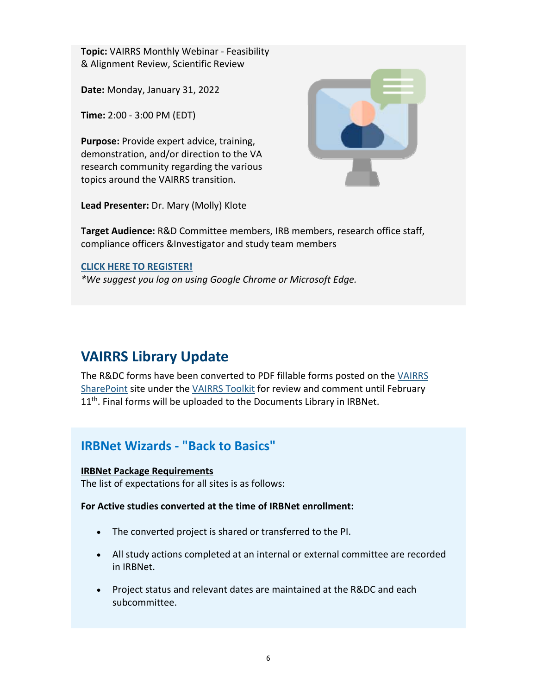**Topic:** VAIRRS Monthly Webinar ‐ Feasibility & Alignment Review, Scientific Review

**Date:** Monday, January 31, 2022

**Time:** 2:00 ‐ 3:00 PM (EDT)

**Purpose:** Provide expert advice, training, demonstration, and/or direction to the VA research community regarding the various topics around the VAIRRS transition.



**Lead Presenter:** Dr. Mary (Molly) Klote

**Target Audience:** R&D Committee members, IRB members, research office staff, compliance officers &Investigator and study team members

#### **CLICK HERE TO REGISTER!**

*\*We suggest you log on using Google Chrome or Microsoft Edge.*

# **VAIRRS Library Update**

The R&DC forms have been converted to PDF fillable forms posted on the VAIRRS SharePoint site under the VAIRRS Toolkit for review and comment until February 11<sup>th</sup>. Final forms will be uploaded to the Documents Library in IRBNet.

## **IRBNet Wizards ‐ "Back to Basics"**

#### **IRBNet Package Requirements**

The list of expectations for all sites is as follows:

**For Active studies converted at the time of IRBNet enrollment:**

- The converted project is shared or transferred to the PI.
- All study actions completed at an internal or external committee are recorded in IRBNet.
- Project status and relevant dates are maintained at the R&DC and each subcommittee.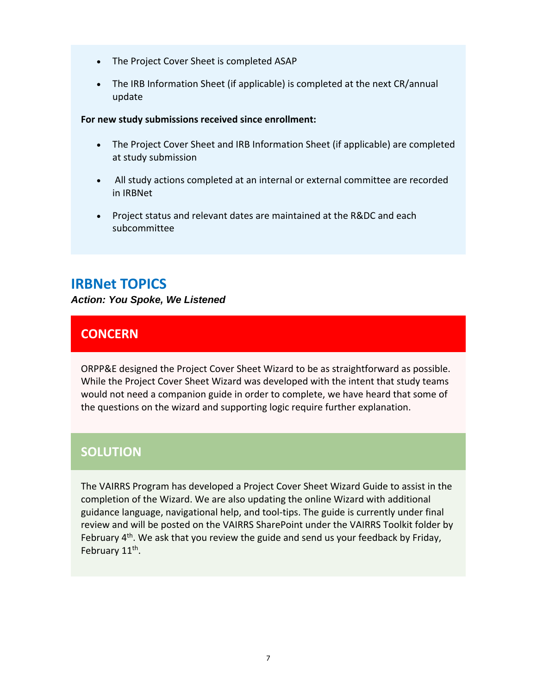- The Project Cover Sheet is completed ASAP
- The IRB Information Sheet (if applicable) is completed at the next CR/annual update

#### **For new study submissions received since enrollment:**

- The Project Cover Sheet and IRB Information Sheet (if applicable) are completed at study submission
- All study actions completed at an internal or external committee are recorded in IRBNet
- Project status and relevant dates are maintained at the R&DC and each subcommittee

## **IRBNet TOPICS**

*Action: You Spoke, We Listened* 

## **CONCERN**

ORPP&E designed the Project Cover Sheet Wizard to be as straightforward as possible. While the Project Cover Sheet Wizard was developed with the intent that study teams would not need a companion guide in order to complete, we have heard that some of the questions on the wizard and supporting logic require further explanation.

### **SOLUTION**

The VAIRRS Program has developed a Project Cover Sheet Wizard Guide to assist in the completion of the Wizard. We are also updating the online Wizard with additional guidance language, navigational help, and tool‐tips. The guide is currently under final review and will be posted on the VAIRRS SharePoint under the VAIRRS Toolkit folder by February  $4<sup>th</sup>$ . We ask that you review the guide and send us your feedback by Friday, February 11<sup>th</sup>.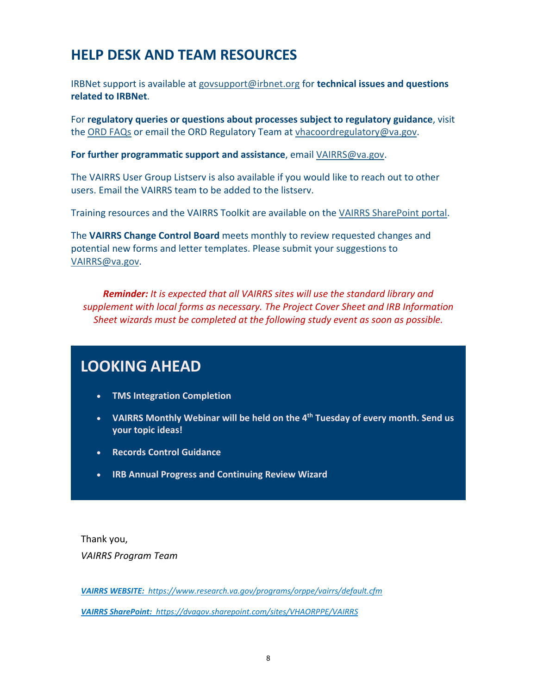# **HELP DESK AND TEAM RESOURCES**

IRBNet support is available at [govsupport@irbnet.org](mailto:govsupport@irbnet.org) for **technical issues and questions related to IRBNet**.

For **regulatory queries or questions about processes subject to regulatory guidance**, visit the ORD FAQs or email the ORD Regulatory Team at [vhacoordregulatory@va.gov](mailto:vhacoordregulatory@va.gov).

**For further programmatic support and assistance**, email [VAIRRS@va.gov](mailto:VAIRRS@va.gov).

The VAIRRS User Group Listserv is also available if you would like to reach out to other users. Email the VAIRRS team to be added to the listserv.

Training resources and the VAIRRS Toolkit are available on the VAIRRS SharePoint portal.

The **VAIRRS Change Control Board** meets monthly to review requested changes and potential new forms and letter templates. Please submit your suggestions to [VAIRRS@va.gov.](mailto:VAIRRS@va.gov)

*Reminder: It is expected that all VAIRRS sites will use the standard library and supplement with local forms as necessary. The Project Cover Sheet and IRB Information Sheet wizards must be completed at the following study event as soon as possible.*

## **LOOKING AHEAD**

- **TMS Integration Completion**
- **VAIRRS Monthly Webinar will be held on the 4th Tuesday of every month. Send us your topic ideas!**
- **Records Control Guidance**
- **IRB Annual Progress and Continuing Review Wizard**

Thank you, *VAIRRS Program Team*

 *VAIRRS SharePoint: <https://dvagov.sharepoint.com/sites/VHAORPPE/VAIRRS> VAIRRS WEBSITE: <https://www.research.va.gov/programs/orppe/vairrs/default.cfm>*